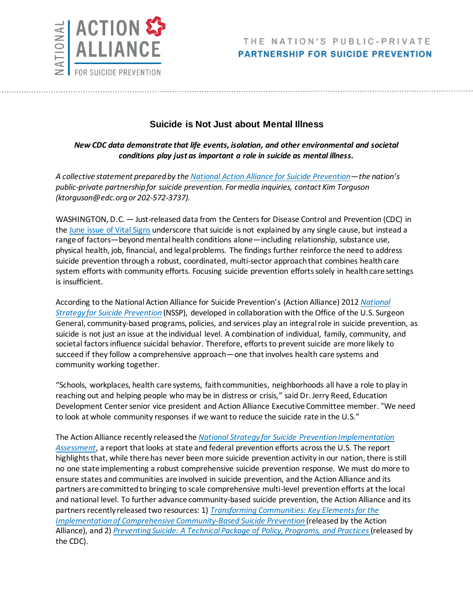

## **Suicide is Not Just about Mental Illness**

## *New CDC data demonstrate that life events, isolation, and other environmental and societal conditions play just as important a role in suicide as mental illness.*

*A collective statement prepared by th[e National Action Alliance for Suicide Prevention](http://actionallianceforsuicideprevention.org/)—the nation's public-private partnership for suicide prevention. For media inquiries, contact Kim Torguson (ktorguson@edc.org or 202-572-3737).*

WASHINGTON, D.C. — Just-released data from the Centers for Disease Control and Prevention (CDC) in th[e June issue of Vital Signs](https://www.cdc.gov/vitalsigns/suicide/) underscore that suicide is not explained by any single cause, but instead a range of factors—beyond mental health conditions alone—including relationship, substance use, physical health, job, financial, and legal problems. The findings further reinforce the need to address suicide prevention through a robust, coordinated, multi-sector approach that combines health care system efforts with community efforts. Focusing suicide prevention efforts solely in health care settings is insufficient.

According to the National Action Alliance for Suicide Prevention's (Action Alliance) 2012 *[National](https://www.surgeongeneral.gov/library/reports/national-strategy-suicide-prevention/full_report-rev.pdf)  [Strategy for Suicide Prevention](https://www.surgeongeneral.gov/library/reports/national-strategy-suicide-prevention/full_report-rev.pdf)* (NSSP), developed in collaboration with the Office of the U.S. Surgeon General, community-based programs, policies, and services play an integral role in suicide prevention, as suicide is not just an issue at the individual level. A combination of individual, family, community, and societal factors influence suicidal behavior. Therefore, efforts to prevent suicide are more likely to succeed if they follow a comprehensive approach—one that involves health care systems and community working together.

"Schools, workplaces, health care systems, faith communities, neighborhoods all have a role to play in reaching out and helping people who may be in distress or crisis," said Dr. Jerry Reed, Education Development Center senior vice president and Action Alliance Executive Committee member. "We need to look at whole community responses if we want to reduce the suicide rate in the U.S."

The Action Alliance recently released the *National [Strategy for Suicide Prevention Implementation](https://store.samhsa.gov/product/National-Strategy-for-Suicide-Prevention-Implementation-Assessment-Report/SMA17-5051)  [Assessment](https://store.samhsa.gov/product/National-Strategy-for-Suicide-Prevention-Implementation-Assessment-Report/SMA17-5051)*, a report that looks at state and federal prevention efforts across the U.S. The report highlights that, while there has never been more suicide prevention activity in our nation, there is still no one state implementing a robust comprehensive suicide prevention response. We must do more to ensure states and communities are involved in suicide prevention, and the Action Alliance and its partners are committed to bringing to scale comprehensive multi-level prevention efforts at the local and national level. To further advance community-based suicide prevention, the Action Alliance and its partners recently released two resources: 1) *[Transforming Communities: Key Elements for the](http://actionallianceforsuicideprevention.org/sites/actionallianceforsuicideprevention.org/files/TransformingCommunitiesPaper.pdf)  [Implementation of Comprehensive Community-Based Suicide Prevention](http://actionallianceforsuicideprevention.org/sites/actionallianceforsuicideprevention.org/files/TransformingCommunitiesPaper.pdf)* (released by the Action Alliance), and 2) *[Preventing Suicide: A Technical Package of Policy, Programs, and Practices](https://www.cdc.gov/violenceprevention/pdf/suicidetechnicalpackage.pdf)*(released by the CDC).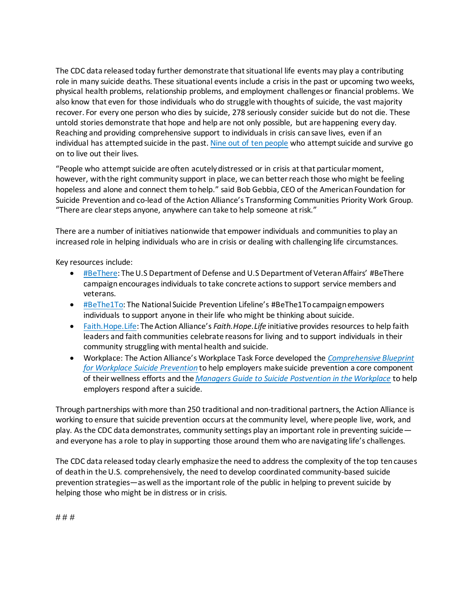The CDC data released today further demonstrate that situational life events may play a contributing role in many suicide deaths. These situational events include a crisis in the past or upcoming two weeks, physical health problems, relationship problems, and employment challenges or financial problems. We also know that even for those individuals who do struggle with thoughts of suicide, the vast majority recover. For every one person who dies by suicide, 278 seriously consider suicide but do not die. These untold stories demonstrate that hope and help are not only possible, but are happening every day. Reaching and providing comprehensive support to individuals in crisis can save lives, even if an individual has attempted suicide in the past[. Nine out of ten people](https://www.cambridge.org/core/journals/the-british-journal-of-psychiatry/article/fatal-and-nonfatal-repetition-of-selfharm/721FD68B3030C46E2070CC08CA869523) who attempt suicide and survive go on to live out their lives.

"People who attempt suicide are often acutely distressed or in crisis at that particular moment, however, with the right community support in place, we can better reach those who might be feeling hopeless and alone and connect them to help." said Bob Gebbia, CEO of the American Foundation for Suicide Prevention and co-lead of the Action Alliance's Transforming Communities Priority Work Group. "There are clear steps anyone, anywhere can take to help someone at risk."

There are a number of initiatives nationwide that empower individuals and communities to play an increased role in helping individuals who are in crisis or dealing with challenging life circumstances.

Key resources include:

- [#BeThere](https://www.veteranscrisisline.net/BeThere.aspx): The U.S Department of Defense and U.S Department of Veteran Affairs' #BeThere campaignencourages individuals to take concrete actions to support service members and veterans.
- **[#BeThe1To:](http://www.bethe1to.com/bethe1to-steps-evidence/) The National Suicide Prevention Lifeline's #BeThe1To campaign empowers** individuals to support anyone in their life who might be thinking about suicide.
- [Faith.Hope.Life](http://actionallianceforsuicideprevention.org/faithhopelife): The Action Alliance's *Faith.Hope.Life* initiative provides resources to help faith leaders and faith communities celebrate reasons for living and to support individuals in their community struggling with mental health and suicide.
- Workplace: The Action Alliance's Workplace Task Force developed the *[Comprehensive Blueprint](http://actionallianceforsuicideprevention.org/comprehensive-blueprint-workplace-suicide-prevention-1)  [for Workplace Suicide Prevention](http://actionallianceforsuicideprevention.org/comprehensive-blueprint-workplace-suicide-prevention-1)* to help employers make suicide prevention a core component of their wellness efforts and the *[Managers Guide to Suicide Postvention](http://actionallianceforsuicideprevention.org/sites/actionallianceforsuicideprevention.org/files/Managers-Guidebook-To-Suicide-Postvention-Web.pdf) in the Workplace* to help employers respond after a suicide.

Through partnerships withmore than 250 traditional and non-traditional partners, the Action Alliance is working to ensure that suicide prevention occurs at the community level, where people live, work, and play. As the CDC data demonstrates, community settings play an important role in preventing suicide and everyone has a role to play in supporting those around them who are navigating life's challenges.

The CDC data released today clearly emphasize the need to address the complexity of the top ten causes of death in the U.S. comprehensively, the need to develop coordinated community-based suicide prevention strategies—as well as the important role of the public in helping to prevent suicide by helping those who might be in distress or in crisis.

# # #